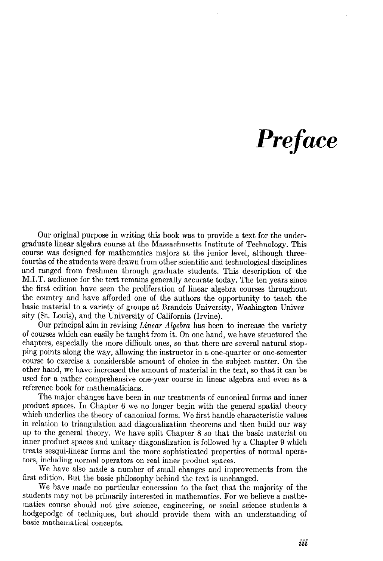## **Preface**

Our original purpose in writing this book was to provide a text for the undergraduate linear algebra course at the Massachusetts Institute of Technology. This course was designed for mathematics majors at the junior level, although threefourths of the students were drawn from other scientific and technological disciplines and ranged from freshmen through graduate students. This description of the M.I.T. audience for the text remains generally accurate today. The ten years since the first edition have seen the proliferation of linear algebra courses throughout the country and have afforded one of the authors the opportunity to teach the basic material to a variety of groups at Brandeis University, Washington University (St. Louis), and the University of California (Irvine).

Our principal aim in revising Linear Algebra has been to increase the variety of courses which can easily be taught from it. On one hand, we have structured the chapters, especially the more difficult ones, so that there are several natural stopping points along the way, allowing the instructor in a one-quarter or one-semester course to exercise a considerable amount of choice in the subject matter. On the other hand, we have increased the amount of material in the text, so that it can be used for a rather comprehensive one-year course in linear algebra and even as a reference book for mathematicians.  $T_{\rm tot}$  major changes have been independent of canonical forms and inner  $\alpha$  and inner  $\alpha$  inner and inner  $\alpha$  inner  $\alpha$  inner  $\alpha$  inner and inner  $\alpha$  inner and inner and inner and inner and inner and inner and inn

product space is a we need in our treatments or canonical forms and three product spaces. In Chapter 6 we no longer begin with the general spatial theory which underlies the theory of canonical forms. We first handle characteristic values in relation to the triangular to the triangulation the diagonalization of the triangulation theorems and the triangular term of the triangular term of the triangular term of the triangular term of the triangular term of th in relation to thangulation and diagonalization theoreins and then bund out way up to the general theory. We have split Chapter 8 so that the basic material on the inner product spaces and unitary diagonalization is followed by a Chapter 9 which treats sesqui-linear forms and the more sophisticated properties of normal operators, including normal operators on real inner product spaces.

We have also made a number of small changes and improvements from the first edition. But the basic philosophy behind the text is unchanged.

We have made no particular concession to the fact that the majority of the students may not be primarily interested in mathematics. For we believe a mathematics course should not give science, engineering, or social science students a hodgepodge of techniques, but should provide them with an understanding of basic mathematical concepts.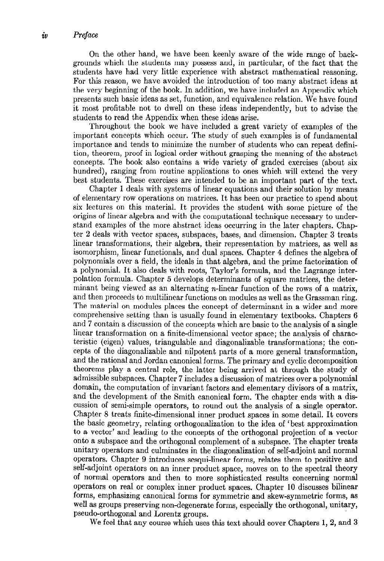On the other hand, we have been keenly aware of the wide range of backgrounds which the students may possess and, in particular, of the fact that the students have had very little experience with abstract mathematical reasoning. For this reason, we have avoided the introduction of too many abstract ideas at the very beginning of the book. In addition, we have included an Appendix which presents such basic ideas as set, function, and equivalence relation. We have found it most profitable not to dwell on these ideas independently, but to advise the students to read the Appendix when these ideas arise.

Throughout the book we have included a great variety of examples of the important concepts which occur. The study of such examples is of fundamental importance and tends to minimize the number of students who can repeat definition, theorem, proof in logical order without grasping the meaning of the abstract concepts. The book also contains a wide variety of graded exercises (about six hundred), ranging from routine applications to ones which will extend the very best students. These exercises are intended to be an important part of the text.

Chapter 1 deals with systems of linear equations and their solution by means of elementary row operations on matrices. It has been our practice to spend about six lectures on this material. It provides the student with some picture of the origins of linear algebra and with the computational technique necessary to understand examples of the more abstract ideas occurring in the later chapters. Chapter 2 deals with vector spaces, subspaces, bases, and dimension. Chapter 3 treats linear transformations, their algebra, their representation by matrices, as well as isomorphism, linear functionals, and dual spaces. Chapter 4 defines the algebra of polynomials over a field, the ideals in that algebra, and the prime factorization of a polynomial. It also deals with roots, Taylor's formula, and the Lagrange interpolation formula. Chapter 5 develops determinants of square matrices, the determinant being viewed as an alternating *n*-linear function of the rows of a matrix, and then proceeds to multilinear functions on modules as well as the Grassman ring. The material on modules places the concept of determinant in a wider and more comprehensive setting than is usually found in elementary textbooks. Chapters 6 and 7 contain a discussion of the concepts which are basic to the analysis of a single linear transformation on a finite-dimensional vector space; the analysis of characteristic (eigen) values, triangulable and diagonalizable transformations; the concepts of the diagonalizable and nilpotent parts of a more general transformation, and the rational and Jordan canonical forms. The primary and cyclic decomposition theorems play a central role, the latter being arrived at through the study of admissible subspaces. Chapter 7 includes a discussion of matrices over a polynomial  $d_{\text{nonmin}}$  the computation of invariant  $d_{\text{nonmin}}$  and elementary divisors of a matrix,  $\alpha$ and the development of the Smith canonical form. The chapter ends with a disand the development of the Smith canonical form. The chapter ends with a discussion of semi-simple operators, to round out the analysis of a single operator. Chapter 8 treats finite-dimensional inner product spaces in some details of the surgeone of the basic geometry control or the internal internal internal or the idea of the internal order of the internal order of the internal order of the internal order of the internal order of the internal order of the internal o the basic geometry, relating orthogonalization to the idea of 'best approximation<br>to a vector' and leading to the concepts of the orthogonal projection of a vector  $\sim$  a subspace and towards to the concepts of the orthogonal projection of a vector. and a subspace and the orthogonal complement of a subspace. The enapter treatunitary operators and culminates in the diagonalization of self-adjoint and normal operators. Chapter 9 introduces sesqui-linear forms, relates them to positive and self-adjoint operators on an inner product space, moves on to the spectral theory of normal operators and then to more sophisticated results concerning normal operators on real or complex inner product spaces. Chapter 10 discusses bilinear forms, emphasizing canonical forms for symmetric and skew-symmetric forms, as well as groups preserving non-degenerate forms, especially the orthogonal, unitary, pseudo-orthogonal and Lorentz groups.<br>We feel that any course which uses this text should cover Chapters 1, 2, and 3